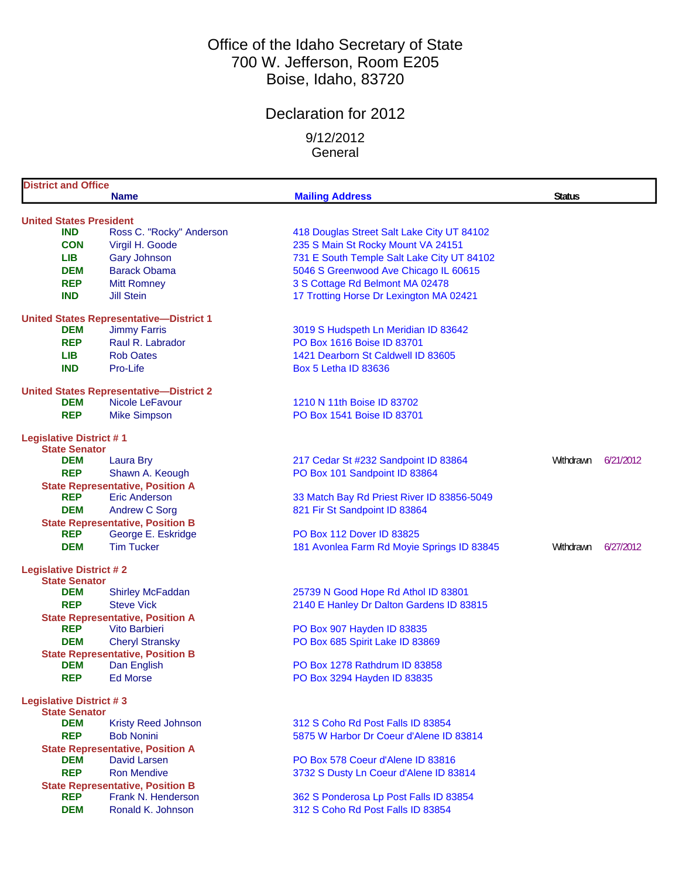# Office of the Idaho Secretary of State 700 W. Jefferson, Room E205 Boise, Idaho, 83720

# Declaration for 2012

9/12/2012 **General** 

| <b>District and Office</b>                             |                                                |                                                                                  |                        |  |
|--------------------------------------------------------|------------------------------------------------|----------------------------------------------------------------------------------|------------------------|--|
|                                                        | <b>Name</b>                                    | <b>Mailing Address</b>                                                           | <b>Status</b>          |  |
|                                                        |                                                |                                                                                  |                        |  |
| <b>United States President</b><br><b>IND</b>           |                                                |                                                                                  |                        |  |
| <b>CON</b>                                             | Ross C. "Rocky" Anderson                       | 418 Douglas Street Salt Lake City UT 84102<br>235 S Main St Rocky Mount VA 24151 |                        |  |
| <b>LIB</b>                                             | Virgil H. Goode                                |                                                                                  |                        |  |
|                                                        | <b>Gary Johnson</b>                            | 731 E South Temple Salt Lake City UT 84102                                       |                        |  |
| <b>DEM</b>                                             | <b>Barack Obama</b>                            | 5046 S Greenwood Ave Chicago IL 60615                                            |                        |  |
| <b>REP</b>                                             | <b>Mitt Romney</b>                             | 3 S Cottage Rd Belmont MA 02478                                                  |                        |  |
| <b>IND</b>                                             | <b>Jill Stein</b>                              | 17 Trotting Horse Dr Lexington MA 02421                                          |                        |  |
|                                                        | <b>United States Representative-District 1</b> |                                                                                  |                        |  |
| <b>DEM</b>                                             | <b>Jimmy Farris</b>                            | 3019 S Hudspeth Ln Meridian ID 83642                                             |                        |  |
| <b>REP</b>                                             | Raul R. Labrador                               | PO Box 1616 Boise ID 83701                                                       |                        |  |
| <b>LIB</b>                                             | <b>Rob Oates</b>                               | 1421 Dearborn St Caldwell ID 83605                                               |                        |  |
| <b>IND</b>                                             | Pro-Life                                       | <b>Box 5 Letha ID 83636</b>                                                      |                        |  |
|                                                        |                                                |                                                                                  |                        |  |
|                                                        | <b>United States Representative-District 2</b> |                                                                                  |                        |  |
| <b>DEM</b>                                             | Nicole LeFavour                                | 1210 N 11th Boise ID 83702                                                       |                        |  |
| <b>REP</b>                                             | <b>Mike Simpson</b>                            | PO Box 1541 Boise ID 83701                                                       |                        |  |
| <b>Legislative District #1</b>                         |                                                |                                                                                  |                        |  |
| <b>State Senator</b>                                   |                                                |                                                                                  |                        |  |
| <b>DEM</b>                                             | <b>Laura Bry</b>                               | 217 Cedar St #232 Sandpoint ID 83864                                             | Withdrawn<br>6/21/2012 |  |
| <b>REP</b>                                             | Shawn A. Keough                                | PO Box 101 Sandpoint ID 83864                                                    |                        |  |
|                                                        | <b>State Representative, Position A</b>        |                                                                                  |                        |  |
| <b>REP</b>                                             | Eric Anderson                                  | 33 Match Bay Rd Priest River ID 83856-5049                                       |                        |  |
| <b>DEM</b>                                             | <b>Andrew C Sorg</b>                           | 821 Fir St Sandpoint ID 83864                                                    |                        |  |
|                                                        | <b>State Representative, Position B</b>        |                                                                                  |                        |  |
| <b>REP</b>                                             | George E. Eskridge                             | PO Box 112 Dover ID 83825                                                        |                        |  |
| <b>DEM</b>                                             | <b>Tim Tucker</b>                              | 181 Avonlea Farm Rd Moyie Springs ID 83845                                       | 6/27/2012<br>Withdrawn |  |
|                                                        |                                                |                                                                                  |                        |  |
| <b>Legislative District #2</b><br><b>State Senator</b> |                                                |                                                                                  |                        |  |
| <b>DEM</b>                                             | <b>Shirley McFaddan</b>                        | 25739 N Good Hope Rd Athol ID 83801                                              |                        |  |
| <b>REP</b>                                             | <b>Steve Vick</b>                              | 2140 E Hanley Dr Dalton Gardens ID 83815                                         |                        |  |
|                                                        | <b>State Representative, Position A</b>        |                                                                                  |                        |  |
| <b>REP</b>                                             | Vito Barbieri                                  | PO Box 907 Hayden ID 83835                                                       |                        |  |
| <b>DEM</b>                                             | <b>Cheryl Stransky</b>                         | PO Box 685 Spirit Lake ID 83869                                                  |                        |  |
|                                                        | <b>State Representative, Position B</b>        |                                                                                  |                        |  |
| <b>DEM</b>                                             | Dan English                                    | PO Box 1278 Rathdrum ID 83858                                                    |                        |  |
| <b>REP</b>                                             | <b>Ed Morse</b>                                | PO Box 3294 Hayden ID 83835                                                      |                        |  |
|                                                        |                                                |                                                                                  |                        |  |
| <b>Legislative District #3</b>                         |                                                |                                                                                  |                        |  |
| <b>State Senator</b><br><b>DEM</b>                     | <b>Kristy Reed Johnson</b>                     | 312 S Coho Rd Post Falls ID 83854                                                |                        |  |
| <b>REP</b>                                             | <b>Bob Nonini</b>                              | 5875 W Harbor Dr Coeur d'Alene ID 83814                                          |                        |  |
|                                                        | <b>State Representative, Position A</b>        |                                                                                  |                        |  |
| <b>DEM</b>                                             | David Larsen                                   | PO Box 578 Coeur d'Alene ID 83816                                                |                        |  |
| <b>REP</b>                                             | <b>Ron Mendive</b>                             | 3732 S Dusty Ln Coeur d'Alene ID 83814                                           |                        |  |
|                                                        | <b>State Representative, Position B</b>        |                                                                                  |                        |  |
| <b>REP</b>                                             | Frank N. Henderson                             | 362 S Ponderosa Lp Post Falls ID 83854                                           |                        |  |
| <b>DEM</b>                                             | Ronald K. Johnson                              | 312 S Coho Rd Post Falls ID 83854                                                |                        |  |
|                                                        |                                                |                                                                                  |                        |  |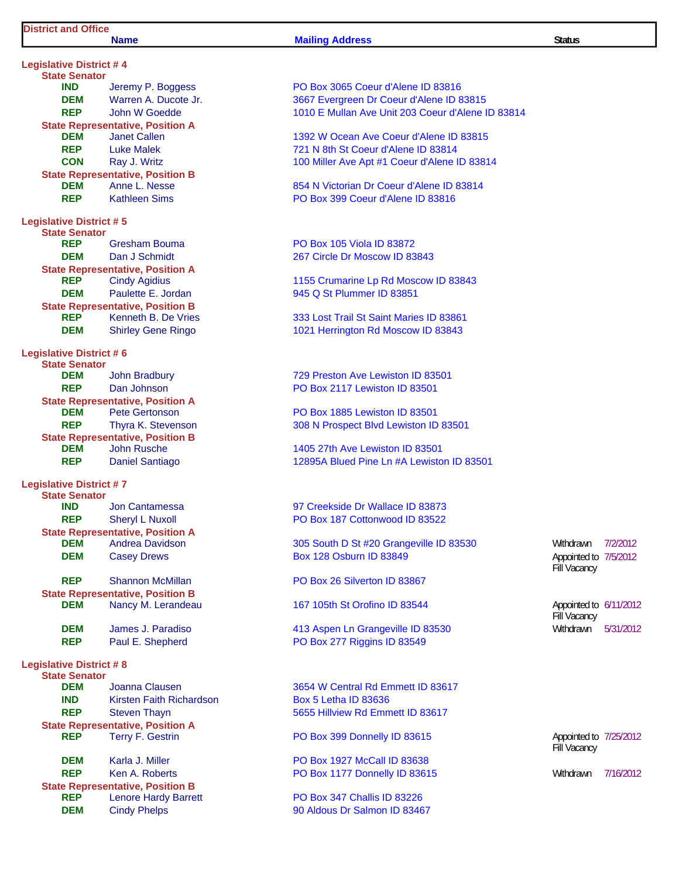#### **Name Mailing Address Status Status Status**

**Legislative District # 4 State Senator State Representative, Position A**<br>**DEM** Janet Callen **State Representative, Position B Legislative District # 5 State Senator State Representative, Position A State Representative, Position B<br>REP** Kenneth B. De Vries **DEM** Shirley Gene Ringo 1021 Herrington Rd Moscow ID 83843 **Legislative District # 6 State Senator DEM** John Bradbury **729 Preston Ave Lewiston ID 83501 REP** Dan Johnson **PO Box 2117 Lewiston ID 83501 State Representative, Position A DEM** Pete Gertonson **PO Box 1885 Lewiston ID 83501 State Representative, Position B DEM** John Rusche 1405 27th Ave Lewiston ID 83501 **Legislative District # 7 State Senator IND** Jon Cantamessa **1988** 97 Creekside Dr Wallace ID 83873 **REP** Sheryl L Nuxoll **PO Box 187 Cottonwood ID 83522 State Representative, Position A DEM** Casey Drews **Box 128 Osburn ID 83849 REP** Shannon McMillan **PO Box 26 Silverton ID 83867 State Representative, Position B DEM** Nancy M. Lerandeau 167 105th St Orofino ID 83544 **DEM** James J. Paradiso **1988 12: Paradiso 12: Aspen Ln Grangeville ID 83530** Withdrawn 5/31/2012 **REP** Paul E. Shepherd PO Box 277 Riggins ID 83549 **Legislative District # 8 State Senator IND** Kirsten Faith Richardson **Box 5 Letha ID 83636 REP** Steven Thayn 5655 Hillview Rd Emmett ID 83617 **State Representative, Position A REP** Terry F. Gestrin **PO Box 399 Donnelly ID 83615 DEM** Karla J. Miller **Report Access 1927 McCall ID 83638 REP** Ken A. Roberts **PO Box 1177 Donnelly ID 83615** Withdrawn 7/16/2012 **State Representative, Position B<br>REP** Lenore Hardy Barre

**IND** Jeremy P. Boggess **PO Box 3065 Coeur d'Alene ID 83816 DEM** Warren A. Ducote Jr. 3667 Evergreen Dr Coeur d'Alene ID 83815 **REP** John W Goedde 1010 E Mullan Ave Unit 203 Coeur d'Alene ID 83814 **DEM** Janet Callen 1392 W Ocean Ave Coeur d'Alene ID 83815 **REP** Luke Malek 721 N 8th St Coeur d'Alene ID 83814 **CON** Ray J. Writz **CON** Ray J. Writz **100 Miller Ave Apt #1 Coeur d'Alene ID 83814 DEM** Anne L. Nesse 854 N Victorian Dr Coeur d'Alene ID 83814 **REP** Kathleen Sims PO Box 399 Coeur d'Alene ID 83816 Gresham Bouma **PO Box 105 Viola ID 83872 DEM** Dan J Schmidt 267 Circle Dr Moscow ID 83843 **REP** Cindy Agidius 1155 Crumarine Lp Rd Moscow ID 83843 **DEM** Paulette E. Jordan 945 Q St Plummer ID 83851 **333 Lost Trail St Saint Maries ID 83861** 

**REP** Thyra K. Stevenson 308 N Prospect Blvd Lewiston ID 83501

**REP** Daniel Santiago 12895A Blued Pine Ln #A Lewiston ID 83501

**DEM** Andrea Davidson 305 South D St #20 Grangeville ID 83530 Withdrawn 7/2/2012

**DEM** Joanna Clausen 3654 W Central Rd Emmett ID 83617

Lenore Hardy Barrett **PO Box 347 Challis ID 83226 DEM** Cindy Phelps 90 Aldous Dr Salmon ID 83467

Fill Vacancy Appointed to 7/5/2012

Fill Vacancy Appointed to 6/11/2012

Fill Vacancy Appointed to 7/25/2012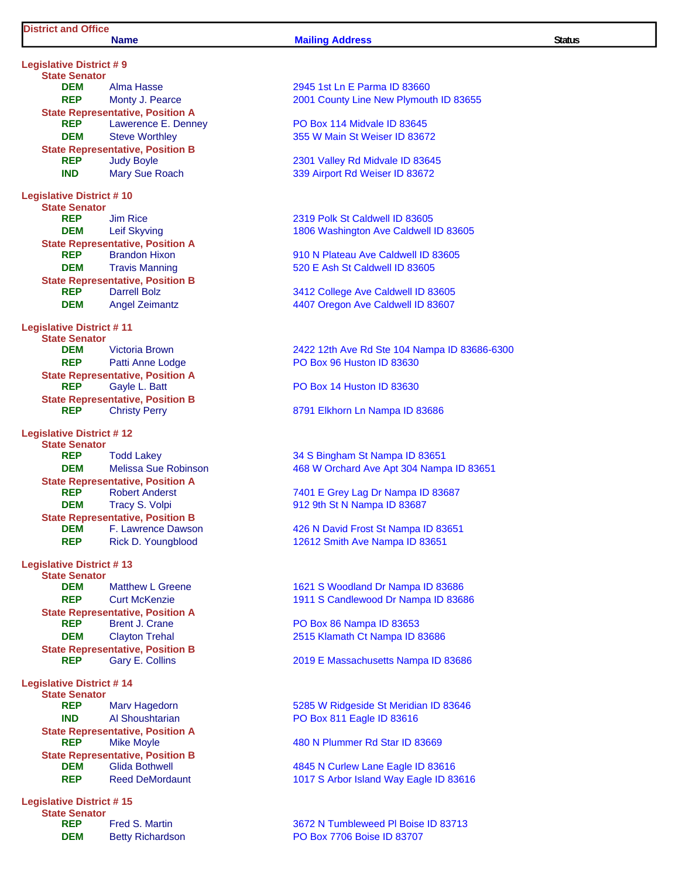#### **Name Mailing Address Status Status Status**

**Legislative District # 9 State Senator DEM** Alma Hasse 2945 1st Ln E Parma ID 83660 **State Representative, Position A REP** Lawerence E. Denney **PO Box 114 Midvale ID 83645 DEM** Steve Worthley 355 W Main St Weiser ID 83672 **State Representative, Position B REP** Judy Boyle 2301 Valley Rd Midvale ID 83645 **IND** Mary Sue Roach 339 Airport Rd Weiser ID 83672 **Legislative District # 10 State Senator REP** Jim Rice 2319 Polk St Caldwell ID 83605 **State Representative, Position A DEM** Travis Manning **1988** Travis Manning **520 E Ash St Caldwell ID 83605 State Representative, Position B**<br>**REP** Darrell Bolz **REP** Darrell Bolz 3412 College Ave Caldwell ID 83605 **Legislative District # 11 State Senator REP** Patti Anne Lodge PO Box 96 Huston ID 83630 **State Representative, Position A REP** Gavle L. Batt **PO Box 14 Huston ID 83630 State Representative, Position B REP** Christy Perry **8791 Elkhorn Ln Nampa ID 83686 Legislative District # 12 State Senator REP** Todd Lakey 34 S Bingham St Nampa ID 83651 **State Representative, Position A**<br>**REP** Robert Anderst **DEM** Tracy S. Volpi **1912 912 9th St N Nampa ID 83687 State Representative, Position B REP** Rick D. Youngblood 12612 Smith Ave Nampa ID 83651 **Legislative District # 13 State Senator State Representative, Position A**<br>**REP** Brent J. Crane **DEM** Clayton Trehal 2515 Klamath Ct Nampa ID 83686 **State Representative, Position B Legislative District # 14 State Senator IND** Al Shoushtarian **PO Box 811 Eagle ID 83616 State Representative, Position A REP** Mike Moyle **1988** Mike Moyle **1988** Metal ASS Manual ASS Metal ASS Metal ASS METAL ASSESS METAL ASSESS **State Representative, Position B DEM** Glida Bothwell 4845 N Curlew Lane Eagle ID 83616 **Legislative District # 15**

**State Senator**

**REP** Monty J. Pearce 2001 County Line New Plymouth ID 83655

**DEM** Leif Skyving 1806 Washington Ave Caldwell ID 83605

**REP** Brandon Hixon **Brandon Hixon** 910 N Plateau Ave Caldwell ID 83605

**DEM** Angel Zeimantz **1988 1988 4407 Oregon Ave Caldwell ID 83607** 

**DEM** Victoria Brown 2422 12th Ave Rd Ste 104 Nampa ID 83686-6300

**DEM** Melissa Sue Robinson 468 W Orchard Ave Apt 304 Nampa ID 83651

7401 E Grey Lag Dr Nampa ID 83687

**DEM** F. Lawrence Dawson **426 N David Frost St Nampa ID 83651** 

Matthew L Greene 1621 S Woodland Dr Nampa ID 83686 **REP** Curt McKenzie 1911 S Candlewood Dr Nampa ID 83686

**PO Box 86 Nampa ID 83653** 

**REP** Gary E. Collins 2019 E Massachusetts Nampa ID 83686

**REP** Marv Hagedorn **6285 W Ridgeside St Meridian ID 83646** 

**REP** Reed DeMordaunt 1017 S Arbor Island Way Eagle ID 83616

**REP** Fred S. Martin 3672 N Tumbleweed Pl Boise ID 83713 **DEM** Betty Richardson **PO Box 7706 Boise ID 83707**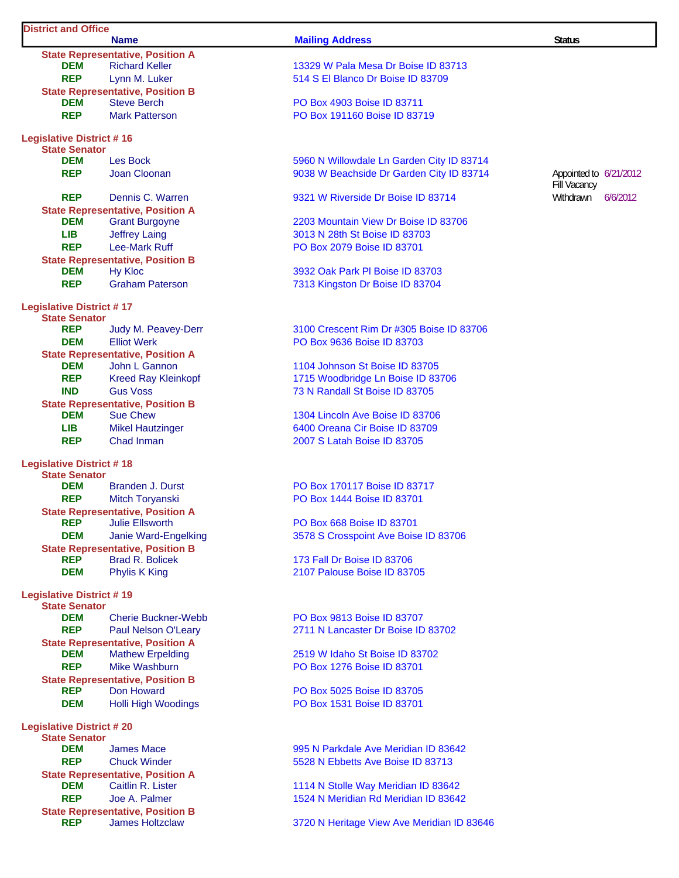#### **District and Office**

|                                 | <b>State Representative, Position A</b>                       |  |  |  |  |
|---------------------------------|---------------------------------------------------------------|--|--|--|--|
| DEM                             | <b>Richard Keller</b>                                         |  |  |  |  |
| <b>REP</b>                      | Lynn M. Luker                                                 |  |  |  |  |
| <b>DEM</b>                      | <b>State Representative, Position B</b><br><b>Steve Berch</b> |  |  |  |  |
| <b>REP</b>                      | <b>Mark Patterson</b>                                         |  |  |  |  |
|                                 |                                                               |  |  |  |  |
| <b>Legislative District #16</b> |                                                               |  |  |  |  |
| <b>State Senator</b>            |                                                               |  |  |  |  |
| <b>DEM</b>                      | <b>Les Bock</b>                                               |  |  |  |  |
| <b>REP</b>                      | Joan Cloonan                                                  |  |  |  |  |
| <b>REP</b>                      | Dennis C. Warren                                              |  |  |  |  |
|                                 | <b>State Representative, Position A</b>                       |  |  |  |  |
| DEM                             | <b>Grant Burgoyne</b>                                         |  |  |  |  |
| LIB I                           | <b>Jeffrey Laing</b>                                          |  |  |  |  |
| <b>REP</b>                      | Lee-Mark Ruff                                                 |  |  |  |  |
|                                 | <b>State Representative, Position B</b>                       |  |  |  |  |
| <b>DEM</b>                      | <b>Hy Kloc</b>                                                |  |  |  |  |
| <b>REP</b>                      | <b>Graham Paterson</b>                                        |  |  |  |  |
| <b>Legislative District #17</b> |                                                               |  |  |  |  |
| <b>State Senator</b>            |                                                               |  |  |  |  |
| <b>REP</b>                      | Judy M. Peavey-Derr                                           |  |  |  |  |
| <b>DEM</b>                      | <b>Elliot Werk</b>                                            |  |  |  |  |
|                                 | <b>State Representative, Position A</b>                       |  |  |  |  |
| <b>DEM</b>                      | John L Gannon                                                 |  |  |  |  |
| <b>REP</b>                      | <b>Kreed Ray Kleinkopf</b>                                    |  |  |  |  |
| <b>IND</b>                      | <b>Gus Voss</b>                                               |  |  |  |  |
| <b>DEM</b>                      | <b>State Representative, Position B</b><br><b>Sue Chew</b>    |  |  |  |  |
| LIBI                            | <b>Mikel Hautzinger</b>                                       |  |  |  |  |
| <b>REP</b>                      | Chad Inman                                                    |  |  |  |  |
|                                 |                                                               |  |  |  |  |
| <b>Legislative District #18</b> |                                                               |  |  |  |  |
| <b>State Senator</b><br>DEM     |                                                               |  |  |  |  |
| <b>REP</b>                      | <b>Branden J. Durst</b><br>Mitch Toryanski                    |  |  |  |  |
|                                 | <b>State Representative, Position A</b>                       |  |  |  |  |
| <b>REP</b>                      | <b>Julie Ellsworth</b>                                        |  |  |  |  |
| <b>DEM</b>                      | Janie Ward-Engelking                                          |  |  |  |  |
|                                 | <b>State Representative, Position B</b>                       |  |  |  |  |
| <b>REP</b>                      | <b>Brad R. Bolicek</b>                                        |  |  |  |  |
| <b>DEM</b>                      | Phylis K King                                                 |  |  |  |  |
| <b>Legislative District #19</b> |                                                               |  |  |  |  |
| <b>State Senator</b>            |                                                               |  |  |  |  |
| <b>DEM</b>                      | <b>Cherie Buckner-Webb</b>                                    |  |  |  |  |
| <b>REP</b>                      | Paul Nelson O'Leary                                           |  |  |  |  |
|                                 | <b>State Representative, Position A</b>                       |  |  |  |  |
| <b>DEM</b>                      | <b>Mathew Erpelding</b>                                       |  |  |  |  |
| <b>REP</b>                      | <b>Mike Washburn</b>                                          |  |  |  |  |
| <b>REP</b>                      | <b>State Representative, Position B</b><br>Don Howard         |  |  |  |  |
| <b>DEM</b>                      | <b>Holli High Woodings</b>                                    |  |  |  |  |
|                                 |                                                               |  |  |  |  |
| <b>Legislative District #20</b> |                                                               |  |  |  |  |
| <b>State Senator</b>            |                                                               |  |  |  |  |
| <b>DEM</b><br><b>REP</b>        | <b>James Mace</b><br><b>Chuck Winder</b>                      |  |  |  |  |
|                                 | <b>State Representative, Position A</b>                       |  |  |  |  |
| <b>DEM</b>                      | Caitlin R. Lister                                             |  |  |  |  |
| <b>REP</b>                      | Joe A. Palmer                                                 |  |  |  |  |
|                                 | <b>State Representative, Position B</b>                       |  |  |  |  |
| <b>REP</b>                      | <b>James Holtzclaw</b>                                        |  |  |  |  |

### **Name Mailing Address Mailing Address Status** Status

13329 W Pala Mesa Dr Boise ID 83713 514 S El Blanco Dr Boise ID 83709

**PO Box 4903 Boise ID 83711 PO Box 191160 Boise ID 83719** 

5960 N Willowdale Ln Garden City ID 83714 9038 W Beachside Dr Garden City ID 83714

**9321 W Riverside Dr Boise ID 83714** Withdrawn 6/6/2012

2203 Mountain View Dr Boise ID 83706 3013 N 28th St Boise ID 83703 **PO Box 2079 Boise ID 83701** 

3932 Oak Park Pl Boise ID 83703 7313 Kingston Dr Boise ID 83704

3100 Crescent Rim Dr #305 Boise ID 83706 **PO Box 9636 Boise ID 83703** 

1104 Johnson St Boise ID 83705 1715 Woodbridge Ln Boise ID 83706 **73 N Randall St Boise ID 83705** 

1304 Lincoln Ave Boise ID 83706 6400 Oreana Cir Boise ID 83709 2007 S Latah Boise ID 83705

**PO Box 170117 Boise ID 83717 PO Box 1444 Boise ID 83701** 

**PO Box 668 Boise ID 83701 3578 S Crosspoint Ave Boise ID 83706** 

**173 Fall Dr Boise ID 83706** 2107 Palouse Boise ID 83705

**PO Box 9813 Boise ID 83707** 2711 N Lancaster Dr Boise ID 83702

2519 W Idaho St Boise ID 83702 **PO Box 1276 Boise ID 83701** 

**PO Box 5025 Boise ID 83705 PO Box 1531 Boise ID 83701** 

995 N Parkdale Ave Meridian ID 83642 5528 N Ebbetts Ave Boise ID 83713

1114 N Stolle Way Meridian ID 83642 1524 N Meridian Rd Meridian ID 83642

**3720 N Heritage View Ave Meridian ID 83646** 

Fill Vacancy Appointed to 6/21/2012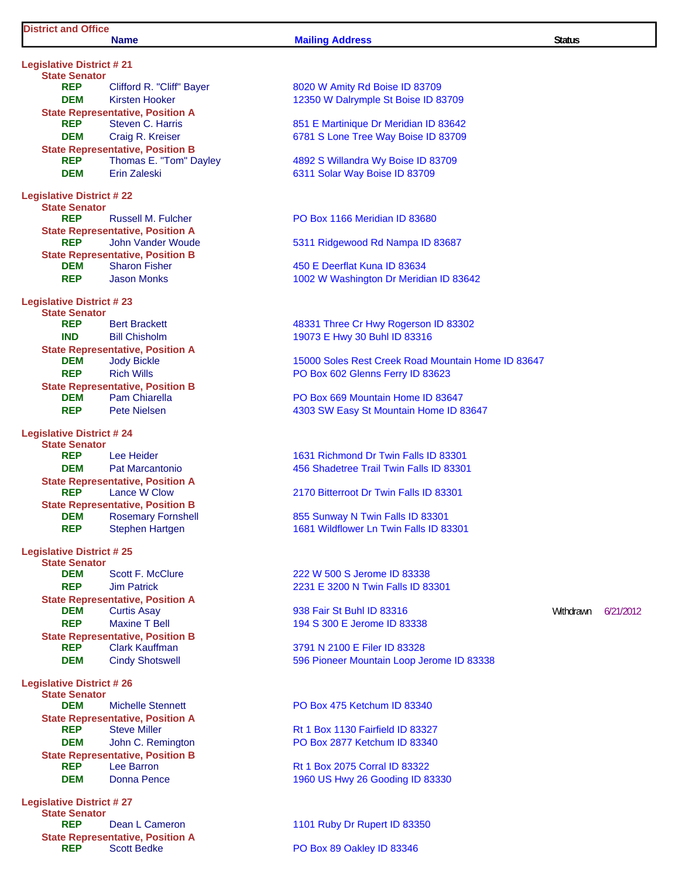# **District and Office**

#### **Name Mailing Address Status Status**

**Legislative District # 21 State Senator Clifford R. "C DEM** Kirsten Hooke **State Representative, Posit REP** Steven C. Ha **DEM** Craig R. Kreis **State Representative, Posit<br>REP** Thomas E. "T Thomas E. "T **DEM** Erin Zaleski **Legislative District # 22 State Senator REP** Russell M. Fulcher **State Representative, Posit REP** John Vander **State Representative, Posit DEM** Sharon Fishe **REP** Jason Monks **Legislative District # 23 State Senator REP** Bert Brackett **IND** Bill Chisholm **State Representative, Position BLEM** Jody Bickle **REP** Rich Wills **State Representative, Posit DEM** Pam Chiarella **REP** Pete Nielsen **Legislative District # 24 State Senator Lee Heider DEM** Pat Marcanto **State Representative, Position APS**<br>REP Lance W Cloy **Lance W Cloy State Representative, Posi**<br>**DEM Rosemary Form Rosemary Fo REP** Stephen Hart **Legislative District # 25 State Senator Scott F. McC REP** Jim Patrick **State Representative, Posit REP** Maxine T Bel **State Representative, Position BLACK**<br>**REP** Clark Kauffma **Clark Kauffman Legislative District # 26 State Senator DEM** Michelle Ster **State Representative, Posit REP** Steve Miller **DEM** John C. Rem **State Representative, Posit REP** Lee Barron **DEM** Donna Pence **Legislative District # 27**

**State Senator REP** Dean L Came **State Representative, Posi**<br>REP Scott Bedke

| e Senator                      |                                                       |                                                                                 |           |           |
|--------------------------------|-------------------------------------------------------|---------------------------------------------------------------------------------|-----------|-----------|
| <b>REP</b><br><b>DEM</b>       | Clifford R. "Cliff" Bayer<br>Kirsten Hooker           | 8020 W Amity Rd Boise ID 83709<br>12350 W Dalrymple St Boise ID 83709           |           |           |
|                                | e Representative, Position A                          |                                                                                 |           |           |
| <b>REP</b>                     | Steven C. Harris                                      | 851 E Martinique Dr Meridian ID 83642                                           |           |           |
| <b>DEM</b>                     | Craig R. Kreiser                                      | 6781 S Lone Tree Way Boise ID 83709                                             |           |           |
|                                | e Representative, Position B                          |                                                                                 |           |           |
| <b>REP</b>                     | Thomas E. "Tom" Dayley                                | 4892 S Willandra Wy Boise ID 83709                                              |           |           |
| <b>DEM</b>                     | <b>Erin Zaleski</b>                                   | 6311 Solar Way Boise ID 83709                                                   |           |           |
| ive District # 22              |                                                       |                                                                                 |           |           |
| e Senator                      |                                                       |                                                                                 |           |           |
| <b>REP</b>                     | <b>Russell M. Fulcher</b>                             | PO Box 1166 Meridian ID 83680                                                   |           |           |
|                                | e Representative, Position A                          |                                                                                 |           |           |
| <b>REP</b>                     | John Vander Woude<br>e Representative, Position B     | 5311 Ridgewood Rd Nampa ID 83687                                                |           |           |
| DEM                            | <b>Sharon Fisher</b>                                  | 450 E Deerflat Kuna ID 83634                                                    |           |           |
| <b>REP</b>                     | <b>Jason Monks</b>                                    | 1002 W Washington Dr Meridian ID 83642                                          |           |           |
|                                |                                                       |                                                                                 |           |           |
| ive District # 23<br>e Senator |                                                       |                                                                                 |           |           |
| <b>REP</b>                     | <b>Bert Brackett</b>                                  | 48331 Three Cr Hwy Rogerson ID 83302                                            |           |           |
| <b>IND</b>                     | <b>Bill Chisholm</b>                                  | 19073 E Hwy 30 Buhl ID 83316                                                    |           |           |
|                                | e Representative, Position A                          |                                                                                 |           |           |
| <b>DEM</b>                     | <b>Jody Bickle</b>                                    | 15000 Soles Rest Creek Road Mountain Home ID 83647                              |           |           |
| <b>REP</b>                     | <b>Rich Wills</b>                                     | PO Box 602 Glenns Ferry ID 83623                                                |           |           |
|                                | e Representative, Position B                          |                                                                                 |           |           |
| <b>DEM</b>                     | <b>Pam Chiarella</b><br><b>Pete Nielsen</b>           | PO Box 669 Mountain Home ID 83647                                               |           |           |
| <b>REP</b>                     |                                                       | 4303 SW Easy St Mountain Home ID 83647                                          |           |           |
| ive District # 24              |                                                       |                                                                                 |           |           |
| e Senator                      |                                                       |                                                                                 |           |           |
| <b>REP</b><br><b>DEM</b>       | Lee Heider<br><b>Pat Marcantonio</b>                  | 1631 Richmond Dr Twin Falls ID 83301<br>456 Shadetree Trail Twin Falls ID 83301 |           |           |
|                                | e Representative, Position A                          |                                                                                 |           |           |
| <b>REP</b>                     | Lance W Clow                                          | 2170 Bitterroot Dr Twin Falls ID 83301                                          |           |           |
|                                | e Representative, Position B                          |                                                                                 |           |           |
| DEM                            | <b>Rosemary Fornshell</b>                             | 855 Sunway N Twin Falls ID 83301                                                |           |           |
| <b>REP</b>                     | <b>Stephen Hartgen</b>                                | 1681 Wildflower Ln Twin Falls ID 83301                                          |           |           |
| ive District # 25              |                                                       |                                                                                 |           |           |
| e Senator                      |                                                       |                                                                                 |           |           |
| <b>DEM</b>                     | Scott F. McClure                                      | 222 W 500 S Jerome ID 83338                                                     |           |           |
| <b>REP</b>                     | <b>Jim Patrick</b>                                    | 2231 E 3200 N Twin Falls ID 83301                                               |           |           |
|                                | e Representative, Position A                          |                                                                                 |           |           |
| <b>DEM</b>                     | <b>Curtis Asay</b>                                    | 938 Fair St Buhl ID 83316                                                       | Withdrawn | 6/21/2012 |
| <b>REP</b>                     | <b>Maxine T Bell</b>                                  | 194 S 300 E Jerome ID 83338                                                     |           |           |
| <b>REP</b>                     | e Representative, Position B<br><b>Clark Kauffman</b> | 3791 N 2100 E Filer ID 83328                                                    |           |           |
| <b>DEM</b>                     | <b>Cindy Shotswell</b>                                | 596 Pioneer Mountain Loop Jerome ID 83338                                       |           |           |
|                                |                                                       |                                                                                 |           |           |
| ive District # 26              |                                                       |                                                                                 |           |           |
| e Senator<br><b>DEM</b>        | <b>Michelle Stennett</b>                              | PO Box 475 Ketchum ID 83340                                                     |           |           |
|                                | e Representative, Position A                          |                                                                                 |           |           |
| <b>REP</b>                     | <b>Steve Miller</b>                                   | Rt 1 Box 1130 Fairfield ID 83327                                                |           |           |
| <b>DEM</b>                     | John C. Remington                                     | PO Box 2877 Ketchum ID 83340                                                    |           |           |
|                                | e Representative, Position B                          |                                                                                 |           |           |
| <b>REP</b>                     | Lee Barron                                            | Rt 1 Box 2075 Corral ID 83322                                                   |           |           |
| <b>DEM</b>                     | <b>Donna Pence</b>                                    | 1960 US Hwy 26 Gooding ID 83330                                                 |           |           |
| ive District # 27              |                                                       |                                                                                 |           |           |
| e Senator                      |                                                       |                                                                                 |           |           |
| <b>REP</b>                     | Dean L Cameron                                        | 1101 Ruby Dr Rupert ID 83350                                                    |           |           |
|                                | e Representative, Position A                          |                                                                                 |           |           |
| <b>REP</b>                     | <b>Scott Bedke</b>                                    | PO Box 89 Oakley ID 83346                                                       |           |           |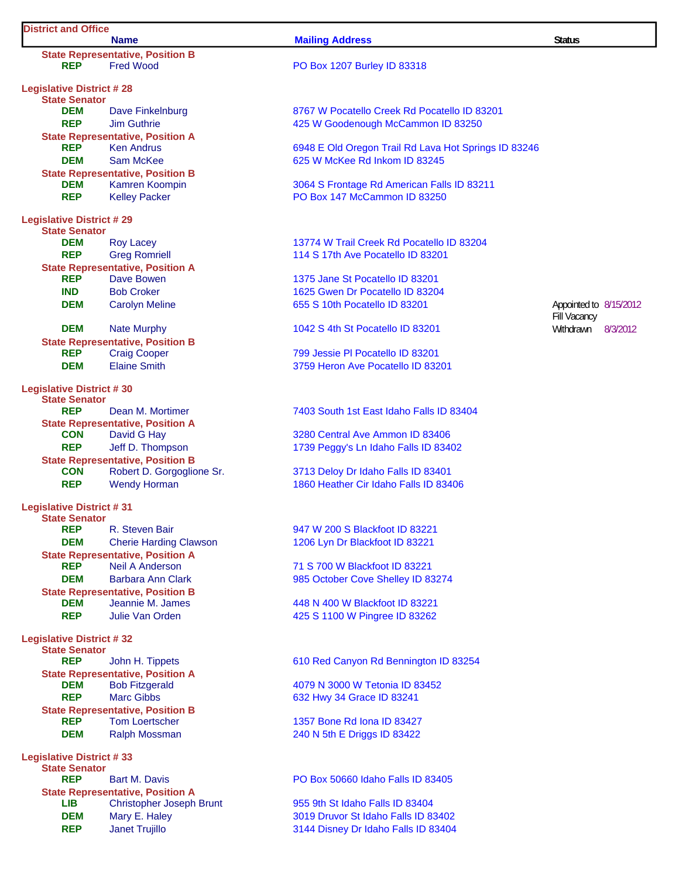#### **District and Office Name Mailing Address Status Status State Representative, Position B**<br>**REP** Fred Wood **PO Box 1207 Burley ID 83318 Legislative District # 28 State Senator DEM** Dave Finkelnburg **8767 W Pocatello Creek Rd Pocatello ID 83201 REP** Jim Guthrie **1988** Jim Guthrie **1988** Jim Guthrie **425 W** Goodenough McCammon ID 83250 **State Representative, Position A**<br>**REP** Ken Andrus **REP** Ken Andrus **Kendala Kendala Constructs** 6948 E Old Oregon Trail Rd Lava Hot Springs ID 83246 **DEM** Sam McKee 625 W McKee Rd Inkom ID 83245 **State Representative, Position B DEM** Kamren Koompin 3064 S Frontage Rd American Falls ID 83211 **REP** Kelley Packer **PO Box 147 McCammon ID 83250 Legislative District # 29 State Senator DEM** Roy Lacey **13774 W Trail Creek Rd Pocatello ID 83204 REP** Greg Romriell 114 S 17th Ave Pocatello ID 83201 **State Representative, Position A REP** Dave Bowen 2008 2012 1375 Jane St Pocatello ID 83201 **IND** Bob Croker 1625 Gwen Dr Pocatello ID 83204 **DEM** Carolyn Meline 655 S 10th Pocatello ID 83201 Fill Vacancy Appointed to 8/15/2012 **DEM** Nate Murphy 1042 S 4th St Pocatello ID 83201 Withdrawn 8/3/2012 **State Representative, Position B** REP Craig Cooper 799 Jessie Pl Pocatello ID 83201 **DEM** Elaine Smith **Elaine Smith** 3759 Heron Ave Pocatello ID 83201 **Legislative District # 30 State Senator Rean M. Mortimer 2403 South 1st East Idaho Falls ID 83404 State Representative, Position A<br>CON** David G Hay 3280 Central Ave Ammon ID 83406 **REP** Jeff D. Thompson 1739 Peggy's Ln Idaho Falls ID 83402 **State Representative, Position B CON** Robert D. Gorgoglione Sr. 3713 Deloy Dr Idaho Falls ID 83401 **REP** Wendy Horman 1860 Heather Cir Idaho Falls ID 83406 **Legislative District # 31 State Senator REP** R. Steven Bair 6. **Repart 1947 W 200 S Blackfoot ID 83221 DEM** Cherie Harding Clawson 1206 Lyn Dr Blackfoot ID 83221 **State Representative, Position A**<br>**REP** Neil A Anderson **REP** Neil A Anderson 71 S 700 W Blackfoot ID 83221 **DEM** Barbara Ann Clark 985 October Cove Shelley ID 83274 **State Representative, Position B DEM** Jeannie M. James 448 N 400 W Blackfoot ID 83221 **REP** Julie Van Orden 425 S 1100 W Pingree ID 83262 **Legislative District # 32 State Senator REP** John H. Tippets 610 Red Canyon Rd Bennington ID 83254 **State Representative, Position A DEM** Bob Fitzgerald 4079 N 3000 W Tetonia ID 83452 **REP** Marc Gibbs 632 Hwy 34 Grace ID 83241 **State Representative, Position B<br>REP** Tom Loertscher **Tom Loertscher 1357 Bone Rd Iona ID 83427 DEM** Ralph Mossman 240 N 5th E Driggs ID 83422 **Legislative District # 33 State Senator REP** Bart M. Davis **REP** Bart M. Davis **PO Box 50660 Idaho Falls ID 83405 State Representative, Position A**

LIB Christopher Joseph Brunt 955 9th St Idaho Falls ID 83404 **DEM** Mary E. Haley 3019 Druvor St Idaho Falls ID 83402 **REP** Janet Trujillo 3144 Disney Dr Idaho Falls ID 83404